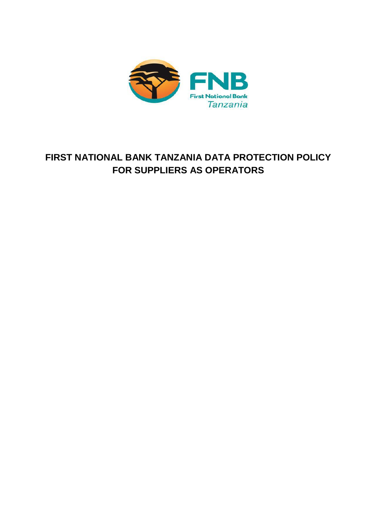

# **FIRST NATIONAL BANK TANZANIA DATA PROTECTION POLICY FOR SUPPLIERS AS OPERATORS**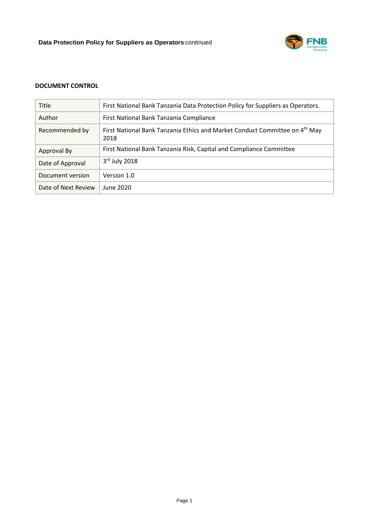

# **DOCUMENT CONTROL**

| <b>Title</b>        | First National Bank Tanzania Data Protection Policy for Suppliers as Operators.                 |
|---------------------|-------------------------------------------------------------------------------------------------|
| Author              | First National Bank Tanzania Compliance                                                         |
| Recommended by      | First National Bank Tanzania Ethics and Market Conduct Committee on 4 <sup>th</sup> May<br>2018 |
| Approval By         | First National Bank Tanzania Risk, Capital and Compliance Committee                             |
| Date of Approval    | $3rd$ July 2018                                                                                 |
| Document version    | Version 1.0                                                                                     |
| Date of Next Review | June 2020                                                                                       |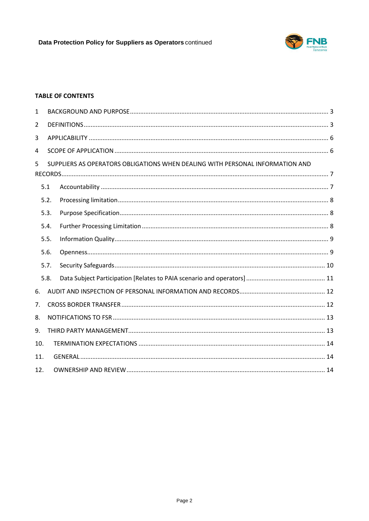

## **TABLE OF CONTENTS**

| 1    |                                                                               |  |  |  |  |  |
|------|-------------------------------------------------------------------------------|--|--|--|--|--|
| 2    |                                                                               |  |  |  |  |  |
| 3    |                                                                               |  |  |  |  |  |
| 4    |                                                                               |  |  |  |  |  |
| 5    | SUPPLIERS AS OPERATORS OBLIGATIONS WHEN DEALING WITH PERSONAL INFORMATION AND |  |  |  |  |  |
|      | 5.1                                                                           |  |  |  |  |  |
| 5.2. |                                                                               |  |  |  |  |  |
|      | 5.3.                                                                          |  |  |  |  |  |
|      | 5.4.                                                                          |  |  |  |  |  |
|      | 5.5.                                                                          |  |  |  |  |  |
|      | 5.6.                                                                          |  |  |  |  |  |
| 5.7. |                                                                               |  |  |  |  |  |
|      | 5.8.                                                                          |  |  |  |  |  |
| 6.   |                                                                               |  |  |  |  |  |
| 7.   |                                                                               |  |  |  |  |  |
| 8.   |                                                                               |  |  |  |  |  |
| 9.   |                                                                               |  |  |  |  |  |
|      | 10.                                                                           |  |  |  |  |  |
|      | 11.                                                                           |  |  |  |  |  |
| 12.  |                                                                               |  |  |  |  |  |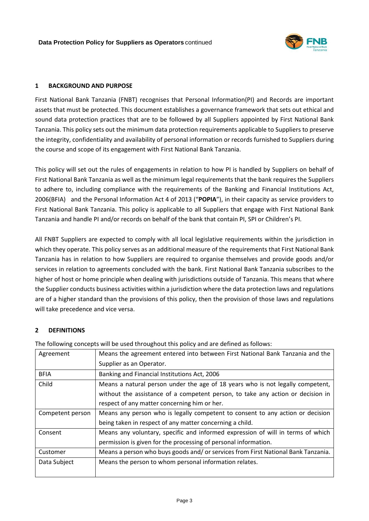

## <span id="page-3-0"></span>**1 BACKGROUND AND PURPOSE**

First National Bank Tanzania (FNBT) recognises that Personal Information(PI) and Records are important assets that must be protected. This document establishes a governance framework that sets out ethical and sound data protection practices that are to be followed by all Suppliers appointed by First National Bank Tanzania. This policy sets out the minimum data protection requirements applicable to Suppliers to preserve the integrity, confidentiality and availability of personal information or records furnished to Suppliers during the course and scope of its engagement with First National Bank Tanzania.

This policy will set out the rules of engagements in relation to how PI is handled by Suppliers on behalf of First National Bank Tanzania as well as the minimum legal requirements that the bank requires the Suppliers to adhere to, including compliance with the requirements of the Banking and Financial Institutions Act, 2006(BFIA) and the Personal Information Act 4 of 2013 ("**POPIA**"), in their capacity as service providers to First National Bank Tanzania. This policy is applicable to all Suppliers that engage with First National Bank Tanzania and handle PI and/or records on behalf of the bank that contain PI, SPI or Children's PI.

All FNBT Suppliers are expected to comply with all local legislative requirements within the jurisdiction in which they operate. This policy serves as an additional measure of the requirements that First National Bank Tanzania has in relation to how Suppliers are required to organise themselves and provide goods and/or services in relation to agreements concluded with the bank. First National Bank Tanzania subscribes to the higher of host or home principle when dealing with jurisdictions outside of Tanzania. This means that where the Supplier conducts business activities within a jurisdiction where the data protection laws and regulations are of a higher standard than the provisions of this policy, then the provision of those laws and regulations will take precedence and vice versa.

## <span id="page-3-1"></span>**2 DEFINITIONS**

| Agreement        | Means the agreement entered into between First National Bank Tanzania and the     |
|------------------|-----------------------------------------------------------------------------------|
|                  | Supplier as an Operator.                                                          |
| <b>BFIA</b>      | Banking and Financial Institutions Act, 2006                                      |
| Child            | Means a natural person under the age of 18 years who is not legally competent,    |
|                  | without the assistance of a competent person, to take any action or decision in   |
|                  | respect of any matter concerning him or her.                                      |
| Competent person | Means any person who is legally competent to consent to any action or decision    |
|                  | being taken in respect of any matter concerning a child.                          |
| Consent          | Means any voluntary, specific and informed expression of will in terms of which   |
|                  | permission is given for the processing of personal information.                   |
| Customer         | Means a person who buys goods and/ or services from First National Bank Tanzania. |
| Data Subject     | Means the person to whom personal information relates.                            |
|                  |                                                                                   |

The following concepts will be used throughout this policy and are defined as follows: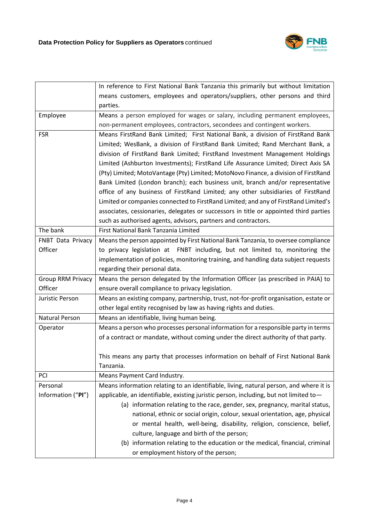

|                       | In reference to First National Bank Tanzania this primarily but without limitation     |
|-----------------------|----------------------------------------------------------------------------------------|
|                       | means customers, employees and operators/suppliers, other persons and third            |
|                       | parties.                                                                               |
| Employee              | Means a person employed for wages or salary, including permanent employees,            |
|                       | non-permanent employees, contractors, secondees and contingent workers.                |
| <b>FSR</b>            | Means FirstRand Bank Limited; First National Bank, a division of FirstRand Bank        |
|                       | Limited; WesBank, a division of FirstRand Bank Limited; Rand Merchant Bank, a          |
|                       | division of FirstRand Bank Limited; FirstRand Investment Management Holdings           |
|                       | Limited (Ashburton Investments); FirstRand Life Assurance Limited; Direct Axis SA      |
|                       | (Pty) Limited; MotoVantage (Pty) Limited; MotoNovo Finance, a division of FirstRand    |
|                       | Bank Limited (London branch); each business unit, branch and/or representative         |
|                       | office of any business of FirstRand Limited; any other subsidiaries of FirstRand       |
|                       | Limited or companies connected to FirstRand Limited; and any of FirstRand Limited's    |
|                       | associates, cessionaries, delegates or successors in title or appointed third parties  |
|                       | such as authorised agents, advisors, partners and contractors.                         |
| The bank              | First National Bank Tanzania Limited                                                   |
| FNBT Data Privacy     | Means the person appointed by First National Bank Tanzania, to oversee compliance      |
| Officer               | to privacy legislation at FNBT including, but not limited to, monitoring the           |
|                       | implementation of policies, monitoring training, and handling data subject requests    |
|                       | regarding their personal data.                                                         |
| Group RRM Privacy     | Means the person delegated by the Information Officer (as prescribed in PAIA) to       |
| Officer               | ensure overall compliance to privacy legislation.                                      |
| Juristic Person       | Means an existing company, partnership, trust, not-for-profit organisation, estate or  |
|                       | other legal entity recognised by law as having rights and duties.                      |
| <b>Natural Person</b> | Means an identifiable, living human being.                                             |
| Operator              | Means a person who processes personal information for a responsible party in terms     |
|                       | of a contract or mandate, without coming under the direct authority of that party.     |
|                       |                                                                                        |
|                       | This means any party that processes information on behalf of First National Bank       |
|                       | Tanzania.                                                                              |
| PCI                   | Means Payment Card Industry.                                                           |
| Personal              | Means information relating to an identifiable, living, natural person, and where it is |
| Information ("PI")    | applicable, an identifiable, existing juristic person, including, but not limited to-  |
|                       | (a) information relating to the race, gender, sex, pregnancy, marital status,          |
|                       | national, ethnic or social origin, colour, sexual orientation, age, physical           |
|                       | or mental health, well-being, disability, religion, conscience, belief,                |
|                       | culture, language and birth of the person;                                             |
|                       | (b) information relating to the education or the medical, financial, criminal          |
|                       | or employment history of the person;                                                   |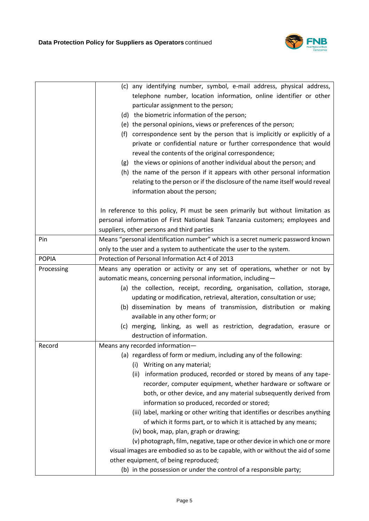

|              | (c) any identifying number, symbol, e-mail address, physical address,            |
|--------------|----------------------------------------------------------------------------------|
|              | telephone number, location information, online identifier or other               |
|              | particular assignment to the person;                                             |
|              | (d) the biometric information of the person;                                     |
|              | (e) the personal opinions, views or preferences of the person;                   |
|              | correspondence sent by the person that is implicitly or explicitly of a<br>(f)   |
|              | private or confidential nature or further correspondence that would              |
|              | reveal the contents of the original correspondence;                              |
|              | (g) the views or opinions of another individual about the person; and            |
|              | (h) the name of the person if it appears with other personal information         |
|              | relating to the person or if the disclosure of the name itself would reveal      |
|              | information about the person;                                                    |
|              | In reference to this policy, PI must be seen primarily but without limitation as |
|              | personal information of First National Bank Tanzania customers; employees and    |
|              | suppliers, other persons and third parties                                       |
| Pin          | Means "personal identification number" which is a secret numeric password known  |
|              | only to the user and a system to authenticate the user to the system.            |
| <b>POPIA</b> | Protection of Personal Information Act 4 of 2013                                 |
| Processing   | Means any operation or activity or any set of operations, whether or not by      |
|              | automatic means, concerning personal information, including-                     |
|              | (a) the collection, receipt, recording, organisation, collation, storage,        |
|              | updating or modification, retrieval, alteration, consultation or use;            |
|              | (b) dissemination by means of transmission, distribution or making               |
|              | available in any other form; or                                                  |
|              | (c) merging, linking, as well as restriction, degradation, erasure or            |
|              | destruction of information.                                                      |
| Record       | Means any recorded information-                                                  |
|              | (a) regardless of form or medium, including any of the following:                |
|              | Writing on any material;<br>(i)                                                  |
|              | (ii) information produced, recorded or stored by means of any tape-              |
|              | recorder, computer equipment, whether hardware or software or                    |
|              | both, or other device, and any material subsequently derived from                |
|              | information so produced, recorded or stored;                                     |
|              | (iii) label, marking or other writing that identifies or describes anything      |
|              | of which it forms part, or to which it is attached by any means;                 |
|              | (iv) book, map, plan, graph or drawing;                                          |
|              | (v) photograph, film, negative, tape or other device in which one or more        |
|              | visual images are embodied so as to be capable, with or without the aid of some  |
|              | other equipment, of being reproduced;                                            |
|              | (b) in the possession or under the control of a responsible party;               |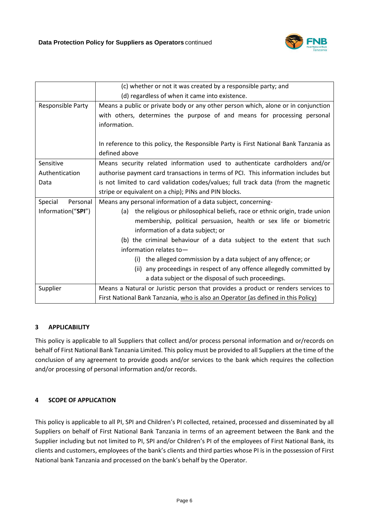

|                     | (c) whether or not it was created by a responsible party; and                         |
|---------------------|---------------------------------------------------------------------------------------|
|                     | (d) regardless of when it came into existence.                                        |
| Responsible Party   | Means a public or private body or any other person which, alone or in conjunction     |
|                     | with others, determines the purpose of and means for processing personal              |
|                     | information.                                                                          |
|                     |                                                                                       |
|                     | In reference to this policy, the Responsible Party is First National Bank Tanzania as |
|                     | defined above                                                                         |
| Sensitive           | Means security related information used to authenticate cardholders and/or            |
| Authentication      | authorise payment card transactions in terms of PCI. This information includes but    |
| Data                | is not limited to card validation codes/values; full track data (from the magnetic    |
|                     | stripe or equivalent on a chip); PINs and PIN blocks.                                 |
| Personal<br>Special | Means any personal information of a data subject, concerning-                         |
| Information("SPI")  | the religious or philosophical beliefs, race or ethnic origin, trade union<br>(a)     |
|                     | membership, political persuasion, health or sex life or biometric                     |
|                     | information of a data subject; or                                                     |
|                     | (b) the criminal behaviour of a data subject to the extent that such                  |
|                     | information relates to-                                                               |
|                     | the alleged commission by a data subject of any offence; or<br>(i)                    |
|                     | (ii) any proceedings in respect of any offence allegedly committed by                 |
|                     | a data subject or the disposal of such proceedings.                                   |
| Supplier            | Means a Natural or Juristic person that provides a product or renders services to     |
|                     | First National Bank Tanzania, who is also an Operator (as defined in this Policy)     |

# <span id="page-6-0"></span>**3 APPLICABILITY**

This policy is applicable to all Suppliers that collect and/or process personal information and or/records on behalf of First National Bank Tanzania Limited. This policy must be provided to all Suppliers at the time of the conclusion of any agreement to provide goods and/or services to the bank which requires the collection and/or processing of personal information and/or records.

# <span id="page-6-1"></span>**4 SCOPE OF APPLICATION**

This policy is applicable to all PI, SPI and Children's PI collected, retained, processed and disseminated by all Suppliers on behalf of First National Bank Tanzania in terms of an agreement between the Bank and the Supplier including but not limited to PI, SPI and/or Children's PI of the employees of First National Bank, its clients and customers, employees of the bank's clients and third parties whose PI is in the possession of First National bank Tanzania and processed on the bank's behalf by the Operator.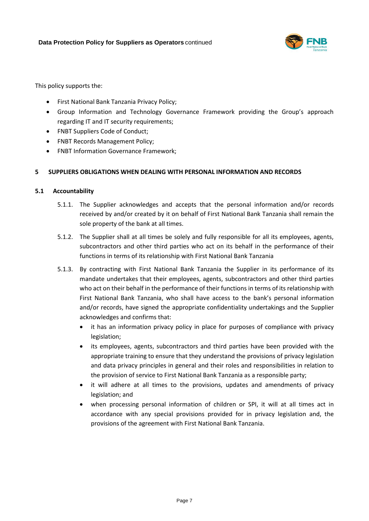

This policy supports the:

- First National Bank Tanzania Privacy Policy;
- Group Information and Technology Governance Framework providing the Group's approach regarding IT and IT security requirements;
- FNBT Suppliers Code of Conduct;
- FNBT Records Management Policy;
- FNBT Information Governance Framework;

## <span id="page-7-0"></span>**5 SUPPLIERS OBLIGATIONS WHEN DEALING WITH PERSONAL INFORMATION AND RECORDS**

#### <span id="page-7-1"></span>**5.1 Accountability**

- 5.1.1. The Supplier acknowledges and accepts that the personal information and/or records received by and/or created by it on behalf of First National Bank Tanzania shall remain the sole property of the bank at all times.
- 5.1.2. The Supplier shall at all times be solely and fully responsible for all its employees, agents, subcontractors and other third parties who act on its behalf in the performance of their functions in terms of its relationship with First National Bank Tanzania
- 5.1.3. By contracting with First National Bank Tanzania the Supplier in its performance of its mandate undertakes that their employees, agents, subcontractors and other third parties who act on their behalf in the performance of their functions in terms of its relationship with First National Bank Tanzania, who shall have access to the bank's personal information and/or records, have signed the appropriate confidentiality undertakings and the Supplier acknowledges and confirms that:
	- it has an information privacy policy in place for purposes of compliance with privacy legislation;
	- its employees, agents, subcontractors and third parties have been provided with the appropriate training to ensure that they understand the provisions of privacy legislation and data privacy principles in general and their roles and responsibilities in relation to the provision of service to First National Bank Tanzania as a responsible party;
	- it will adhere at all times to the provisions, updates and amendments of privacy legislation; and
	- when processing personal information of children or SPI, it will at all times act in accordance with any special provisions provided for in privacy legislation and, the provisions of the agreement with First National Bank Tanzania.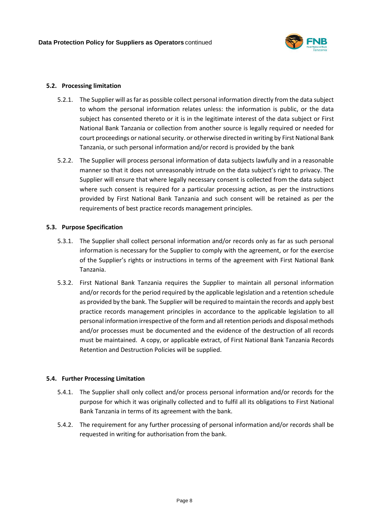

#### <span id="page-8-0"></span>**5.2. Processing limitation**

- 5.2.1. The Supplier will as far as possible collect personal information directly from the data subject to whom the personal information relates unless: the information is public, or the data subject has consented thereto or it is in the legitimate interest of the data subject or First National Bank Tanzania or collection from another source is legally required or needed for court proceedings or national security. or otherwise directed in writing by First National Bank Tanzania, or such personal information and/or record is provided by the bank
- 5.2.2. The Supplier will process personal information of data subjects lawfully and in a reasonable manner so that it does not unreasonably intrude on the data subject's right to privacy. The Supplier will ensure that where legally necessary consent is collected from the data subject where such consent is required for a particular processing action, as per the instructions provided by First National Bank Tanzania and such consent will be retained as per the requirements of best practice records management principles.

#### <span id="page-8-1"></span>**5.3. Purpose Specification**

- 5.3.1. The Supplier shall collect personal information and/or records only as far as such personal information is necessary for the Supplier to comply with the agreement, or for the exercise of the Supplier's rights or instructions in terms of the agreement with First National Bank Tanzania.
- 5.3.2. First National Bank Tanzania requires the Supplier to maintain all personal information and/or records for the period required by the applicable legislation and a retention schedule as provided by the bank. The Supplier will be required to maintain the records and apply best practice records management principles in accordance to the applicable legislation to all personal information irrespective of the form and all retention periods and disposal methods and/or processes must be documented and the evidence of the destruction of all records must be maintained. A copy, or applicable extract, of First National Bank Tanzania Records Retention and Destruction Policies will be supplied.

#### <span id="page-8-2"></span>**5.4. Further Processing Limitation**

- 5.4.1. The Supplier shall only collect and/or process personal information and/or records for the purpose for which it was originally collected and to fulfil all its obligations to First National Bank Tanzania in terms of its agreement with the bank.
- 5.4.2. The requirement for any further processing of personal information and/or records shall be requested in writing for authorisation from the bank.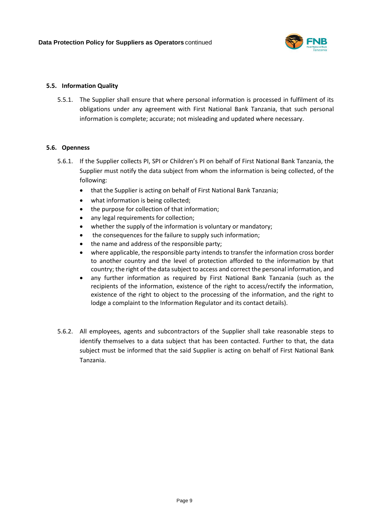

#### <span id="page-9-0"></span>**5.5. Information Quality**

5.5.1. The Supplier shall ensure that where personal information is processed in fulfilment of its obligations under any agreement with First National Bank Tanzania, that such personal information is complete; accurate; not misleading and updated where necessary.

#### <span id="page-9-1"></span>**5.6. Openness**

- 5.6.1. If the Supplier collects PI, SPI or Children's PI on behalf of First National Bank Tanzania, the Supplier must notify the data subject from whom the information is being collected, of the following:
	- that the Supplier is acting on behalf of First National Bank Tanzania;
	- what information is being collected;
	- the purpose for collection of that information;
	- any legal requirements for collection;
	- whether the supply of the information is voluntary or mandatory;
	- the consequences for the failure to supply such information;
	- the name and address of the responsible party;
	- where applicable, the responsible party intends to transfer the information cross border to another country and the level of protection afforded to the information by that country; the right of the data subject to access and correct the personal information, and
	- any further information as required by First National Bank Tanzania (such as the recipients of the information, existence of the right to access/rectify the information, existence of the right to object to the processing of the information, and the right to lodge a complaint to the Information Regulator and its contact details).
- 5.6.2. All employees, agents and subcontractors of the Supplier shall take reasonable steps to identify themselves to a data subject that has been contacted. Further to that, the data subject must be informed that the said Supplier is acting on behalf of First National Bank Tanzania.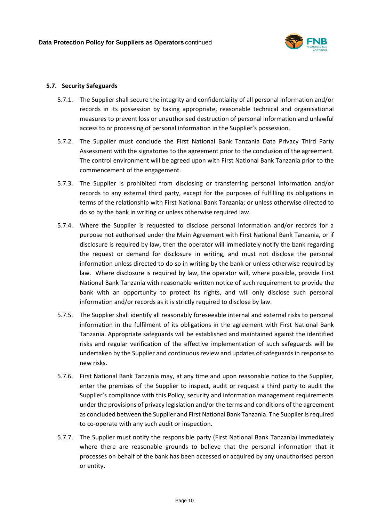

#### <span id="page-10-0"></span>**5.7. Security Safeguards**

- 5.7.1. The Supplier shall secure the integrity and confidentiality of all personal information and/or records in its possession by taking appropriate, reasonable technical and organisational measures to prevent loss or unauthorised destruction of personal information and unlawful access to or processing of personal information in the Supplier's possession.
- 5.7.2. The Supplier must conclude the First National Bank Tanzania Data Privacy Third Party Assessment with the signatories to the agreement prior to the conclusion of the agreement. The control environment will be agreed upon with First National Bank Tanzania prior to the commencement of the engagement.
- 5.7.3. The Supplier is prohibited from disclosing or transferring personal information and/or records to any external third party, except for the purposes of fulfilling its obligations in terms of the relationship with First National Bank Tanzania; or unless otherwise directed to do so by the bank in writing or unless otherwise required law.
- 5.7.4. Where the Supplier is requested to disclose personal information and/or records for a purpose not authorised under the Main Agreement with First National Bank Tanzania, or if disclosure is required by law, then the operator will immediately notify the bank regarding the request or demand for disclosure in writing, and must not disclose the personal information unless directed to do so in writing by the bank or unless otherwise required by law. Where disclosure is required by law, the operator will, where possible, provide First National Bank Tanzania with reasonable written notice of such requirement to provide the bank with an opportunity to protect its rights, and will only disclose such personal information and/or records as it is strictly required to disclose by law.
- 5.7.5. The Supplier shall identify all reasonably foreseeable internal and external risks to personal information in the fulfilment of its obligations in the agreement with First National Bank Tanzania. Appropriate safeguards will be established and maintained against the identified risks and regular verification of the effective implementation of such safeguards will be undertaken by the Supplier and continuous review and updates of safeguards in response to new risks.
- 5.7.6. First National Bank Tanzania may, at any time and upon reasonable notice to the Supplier, enter the premises of the Supplier to inspect, audit or request a third party to audit the Supplier's compliance with this Policy, security and information management requirements under the provisions of privacy legislation and/or the terms and conditions of the agreement as concluded between the Supplier and First National Bank Tanzania. The Supplier is required to co-operate with any such audit or inspection.
- 5.7.7. The Supplier must notify the responsible party (First National Bank Tanzania) immediately where there are reasonable grounds to believe that the personal information that it processes on behalf of the bank has been accessed or acquired by any unauthorised person or entity.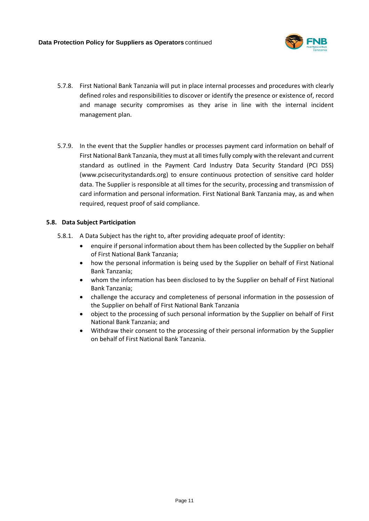

- 5.7.8. First National Bank Tanzania will put in place internal processes and procedures with clearly defined roles and responsibilities to discover or identify the presence or existence of, record and manage security compromises as they arise in line with the internal incident management plan.
- 5.7.9. In the event that the Supplier handles or processes payment card information on behalf of First National Bank Tanzania, they must at all times fully comply with the relevant and current standard as outlined in the Payment Card Industry Data Security Standard (PCI DSS) (www.pcisecuritystandards.org) to ensure continuous protection of sensitive card holder data. The Supplier is responsible at all times for the security, processing and transmission of card information and personal information. First National Bank Tanzania may, as and when required, request proof of said compliance.

#### <span id="page-11-0"></span>**5.8. Data Subject Participation**

- 5.8.1. A Data Subject has the right to, after providing adequate proof of identity:
	- enquire if personal information about them has been collected by the Supplier on behalf of First National Bank Tanzania;
	- how the personal information is being used by the Supplier on behalf of First National Bank Tanzania;
	- whom the information has been disclosed to by the Supplier on behalf of First National Bank Tanzania;
	- challenge the accuracy and completeness of personal information in the possession of the Supplier on behalf of First National Bank Tanzania
	- object to the processing of such personal information by the Supplier on behalf of First National Bank Tanzania; and
	- Withdraw their consent to the processing of their personal information by the Supplier on behalf of First National Bank Tanzania.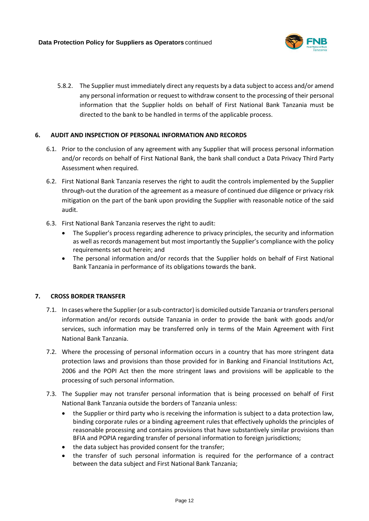

5.8.2. The Supplier must immediately direct any requests by a data subject to access and/or amend any personal information or request to withdraw consent to the processing of their personal information that the Supplier holds on behalf of First National Bank Tanzania must be directed to the bank to be handled in terms of the applicable process.

#### <span id="page-12-0"></span>**6. AUDIT AND INSPECTION OF PERSONAL INFORMATION AND RECORDS**

- 6.1. Prior to the conclusion of any agreement with any Supplier that will process personal information and/or records on behalf of First National Bank, the bank shall conduct a Data Privacy Third Party Assessment when required.
- 6.2. First National Bank Tanzania reserves the right to audit the controls implemented by the Supplier through-out the duration of the agreement as a measure of continued due diligence or privacy risk mitigation on the part of the bank upon providing the Supplier with reasonable notice of the said audit.
- 6.3. First National Bank Tanzania reserves the right to audit:
	- The Supplier's process regarding adherence to privacy principles, the security and information as well as records management but most importantly the Supplier's compliance with the policy requirements set out herein; and
	- The personal information and/or records that the Supplier holds on behalf of First National Bank Tanzania in performance of its obligations towards the bank.

#### <span id="page-12-1"></span>**7. CROSS BORDER TRANSFER**

- 7.1. In cases where the Supplier (or a sub-contractor) is domiciled outside Tanzania or transfers personal information and/or records outside Tanzania in order to provide the bank with goods and/or services, such information may be transferred only in terms of the Main Agreement with First National Bank Tanzania.
- 7.2. Where the processing of personal information occurs in a country that has more stringent data protection laws and provisions than those provided for in Banking and Financial Institutions Act, 2006 and the POPI Act then the more stringent laws and provisions will be applicable to the processing of such personal information.
- 7.3. The Supplier may not transfer personal information that is being processed on behalf of First National Bank Tanzania outside the borders of Tanzania unless:
	- the Supplier or third party who is receiving the information is subject to a data protection law, binding corporate rules or a binding agreement rules that effectively upholds the principles of reasonable processing and contains provisions that have substantively similar provisions than BFIA and POPIA regarding transfer of personal information to foreign jurisdictions;
	- the data subject has provided consent for the transfer;
	- the transfer of such personal information is required for the performance of a contract between the data subject and First National Bank Tanzania;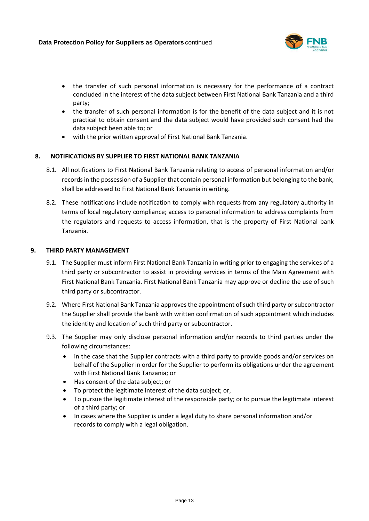

- the transfer of such personal information is necessary for the performance of a contract concluded in the interest of the data subject between First National Bank Tanzania and a third party;
- the transfer of such personal information is for the benefit of the data subject and it is not practical to obtain consent and the data subject would have provided such consent had the data subject been able to; or
- with the prior written approval of First National Bank Tanzania.

#### <span id="page-13-0"></span>**8. NOTIFICATIONS BY SUPPLIER TO FIRST NATIONAL BANK TANZANIA**

- 8.1. All notifications to First National Bank Tanzania relating to access of personal information and/or records in the possession of a Supplier that contain personal information but belonging to the bank, shall be addressed to First National Bank Tanzania in writing.
- 8.2. These notifications include notification to comply with requests from any regulatory authority in terms of local regulatory compliance; access to personal information to address complaints from the regulators and requests to access information, that is the property of First National bank Tanzania.

#### <span id="page-13-1"></span>**9. THIRD PARTY MANAGEMENT**

- 9.1. The Supplier must inform First National Bank Tanzania in writing prior to engaging the services of a third party or subcontractor to assist in providing services in terms of the Main Agreement with First National Bank Tanzania. First National Bank Tanzania may approve or decline the use of such third party or subcontractor.
- 9.2. Where First National Bank Tanzania approves the appointment of such third party or subcontractor the Supplier shall provide the bank with written confirmation of such appointment which includes the identity and location of such third party or subcontractor.
- 9.3. The Supplier may only disclose personal information and/or records to third parties under the following circumstances:
	- in the case that the Supplier contracts with a third party to provide goods and/or services on behalf of the Supplier in order for the Supplier to perform its obligations under the agreement with First National Bank Tanzania; or
	- Has consent of the data subject; or
	- To protect the legitimate interest of the data subject; or,
	- To pursue the legitimate interest of the responsible party; or to pursue the legitimate interest of a third party; or
	- In cases where the Supplier is under a legal duty to share personal information and/or records to comply with a legal obligation.